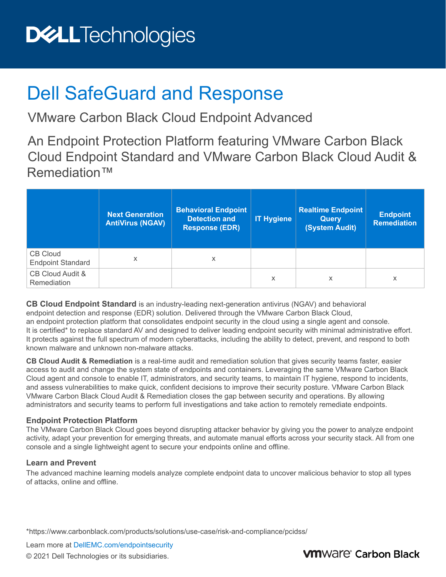# **DELLTechnologies**

## Dell SafeGuard and Response

VMware Carbon Black Cloud Endpoint Advanced

An Endpoint Protection Platform featuring VMware Carbon Black Cloud Endpoint Standard and VMware Carbon Black Cloud Audit & Remediation™

|                                             | <b>Next Generation</b><br><b>AntiVirus (NGAV)</b> | <b>Behavioral Endpoint</b><br><b>Detection and</b><br><b>Response (EDR)</b> | <b>IT Hygiene</b> | <b>Realtime Endpoint</b><br><b>Query</b><br>(System Audit) | <b>Endpoint</b><br><b>Remediation</b> |
|---------------------------------------------|---------------------------------------------------|-----------------------------------------------------------------------------|-------------------|------------------------------------------------------------|---------------------------------------|
| <b>CB Cloud</b><br><b>Endpoint Standard</b> | X                                                 | x                                                                           |                   |                                                            |                                       |
| CB Cloud Audit &<br>Remediation             |                                                   |                                                                             | X                 | x                                                          | X                                     |

**CB Cloud Endpoint Standard** is an industry-leading next-generation antivirus (NGAV) and behavioral endpoint detection and response (EDR) solution. Delivered through the VMware Carbon Black Cloud, an endpoint protection platform that consolidates endpoint security in the cloud using a single agent and console. It is certified\* to replace standard AV and designed to deliver leading endpoint security with minimal administrative effort. It protects against the full spectrum of modern cyberattacks, including the ability to detect, prevent, and respond to both known malware and unknown non-malware attacks.

**CB Cloud Audit & Remediation** is a real-time audit and remediation solution that gives security teams faster, easier access to audit and change the system state of endpoints and containers. Leveraging the same VMware Carbon Black Cloud agent and console to enable IT, administrators, and security teams, to maintain IT hygiene, respond to incidents, and assess vulnerabilities to make quick, confident decisions to improve their security posture. VMware Carbon Black VMware Carbon Black Cloud Audit & Remediation closes the gap between security and operations. By allowing administrators and security teams to perform full investigations and take action to remotely remediate endpoints.

#### **Endpoint Protection Platform**

The VMware Carbon Black Cloud goes beyond disrupting attacker behavior by giving you the power to analyze endpoint activity, adapt your prevention for emerging threats, and automate manual efforts across your security stack. All from one console and a single lightweight agent to secure your endpoints online and offline.

#### **Learn and Prevent**

The advanced machine learning models analyze complete endpoint data to uncover malicious behavior to stop all types of attacks, online and offline.

\*[https://w](https://www.carbonblack.com/products/solutions/use-case/risk-and-compliance/pcidss/)ww.carbonblack.com/products/solutions/use-case/risk-and-compliance/pcidss/

Learn more at [DellEMC.com/endpointsecurity](http://www.dellemc.com/endpointsecurity)

© 2021 Dell Technologies or its subsidiaries.

### **VM**Ware<sup>®</sup> Carbon Black